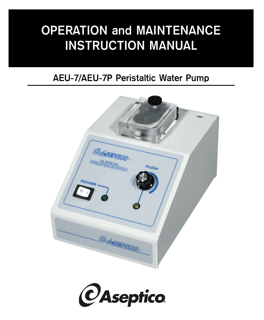# **OPERATION and MAINTENANCE INSTRUCTION MANUAL**

# **AEU-7/AEU-7P Peristaltic Water Pump**



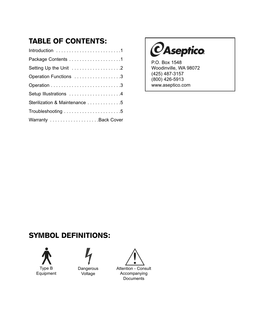# TABLE OF CONTENTS:

*OAseptico* 

P.O. Box 1548 Woodinville, WA 98072 (425) 487-3157 (800) 426-5913 www.aseptico.com

## SYMBOL DEFINITIONS:





Voltage

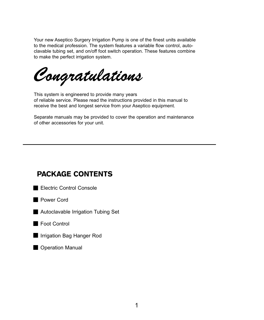Your new Aseptico Surgery Irrigation Pump is one of the finest units available to the medical profession. The system features a variable flow control, autoclavable tubing set, and on/off foot switch operation. These features combine to make the perfect irrigation system.

*Congratulations*

This system is engineered to provide many years of reliable service. Please read the instructions provided in this manual to receive the best and longest service from your Aseptico equipment.

Separate manuals may be provided to cover the operation and maintenance of other accessories for your unit.

# PACKAGE CONTENTS

Electric Control Console



**Autoclavable Irrigation Tubing Set** 

Foot Control

**Industrial Irrigation Bag Hanger Rod** 

**Operation Manual**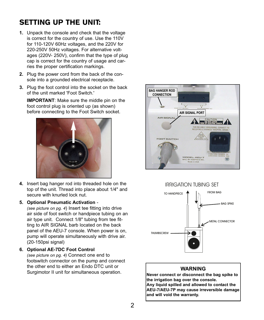# SETTING UP THE UNIT:

- **1.** Unpack the console and check that the voltage is correct for the country of use. Use the 110V for 110-120V 60Hz voltages, and the 220V for 220-250V 50Hz voltages. For alternative voltages (220V- 250V), confirm that the type of plug cap is correct for the country of usage and carries the proper certification markings.
- **2.** Plug the power cord from the back of the console into a grounded electrical receptacle.
- **3.** Plug the foot control into the socket on the back of the unit marked 'Foot Switch.'

**IMPORTANT**: Make sure the middle pin on the foot control plug is oriented up (as shown) before connecting to the Foot Switch socket.



**4.** Insert bag hanger rod into threaded hole on the top of the unit. Thread into place about 1/4" and secure with knurled lock nut.

#### **5. Optional Pneumatic Activation** -

*(see picture on pg. 4*) Insert tee fitting into drive air side of foot switch or handpiece tubing on an air type unit. Connect 1/8" tubing from tee fitting to AIR SIGNAL barb located on the back panel of the AEU-7 console. When power is on, pump will operate simultaneously with drive air. (20-150psi signal)

#### **6. Optional AE-7DC Foot Control**

*(see picture on pg. 4)* Connect one end to footswitch connector on the pump and connect the other end to either an Endo DTC unit or Surgimotor II unit for simultaneous operation.





#### **WARNING**

**Never connect or disconnect the bag spike to the irrigation bag over the console. Any liquid spilled and allowed to contact the AEU-7/AEU-7P may cause irreversible damage and will void the warranty.**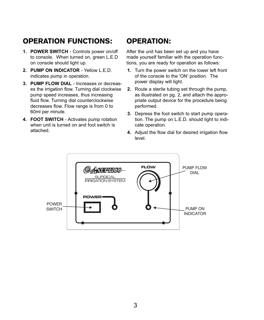# OPERATION FUNCTIONS:

- **1. POWER SWITCH** Controls power on/off to console. When turned on, green L.E.D on console should light up.
- **2. PUMP ON INDICATOR** Yellow L.E.D. indicates pump in operation.
- **3. PUMP FLOW DIAL** Increases or decreases the irrigation flow. Turning dial clockwise pump speed increases, thus increasing fluid flow. Turning dial counterclockwise decreases flow. Flow range is from 0 to 60ml per minute.
- **4. FOOT SWITCH** Activates pump rotation when unit is turned on and foot switch is attached.

# OPERATION:

After the unit has been set up and you have made yourself familiar with the operation functions, you are ready for operation as follows:

- **1.** Turn the power switch on the lower left front of the console to the 'ON' position. The power display will light.
- **2.** Route a sterile tubing set through the pump, as illustrated on pg. 2, and attach the appropriate output device for the procedure being performed.
- **3.** Depress the foot switch to start pump operation. The pump on L.E.D. should light to indicate operation.
- **4.** Adjust the flow dial for desired irrigation flow level.

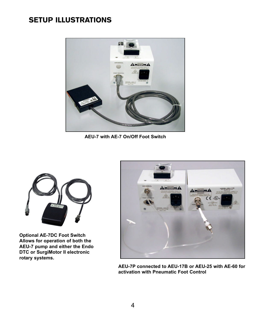## SETUP ILLUSTRATIONS



**AEU-7 with AE-7 On/Off Foot Switch**



**Optional AE-7DC Foot Switch Allows for operation of both the AEU-7 pump and either the Endo DTC or SurgiMotor II electronic rotary systems.**



**AEU-7P connected to AEU-17B or AEU-25 with AE-60 for activation with Pneumatic Foot Control**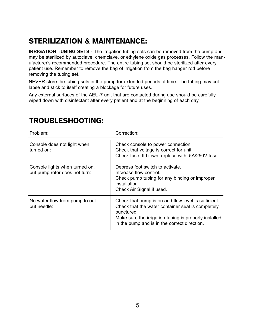# STERILIZATION & MAINTENANCE:

**IRRIGATION TUBING SETS -** The irrigation tubing sets can be removed from the pump and may be sterilized by autoclave, chemclave, or ethylene oxide gas processes. Follow the manufacturer's recommended procedure. The entire tubing set should be sterilized after every patient use. Remember to remove the bag of irrigation from the bag hanger rod before removing the tubing set.

NEVER store the tubing sets in the pump for extended periods of time. The tubing may collapse and stick to itself creating a blockage for future uses.

Any external surfaces of the AEU-7 unit that are contacted during use should be carefully wiped down with disinfectant after every patient and at the beginning of each day.

| Problem:                                                        | Correction:                                                                                                                                                                                                                     |
|-----------------------------------------------------------------|---------------------------------------------------------------------------------------------------------------------------------------------------------------------------------------------------------------------------------|
| Console does not light when<br>turned on:                       | Check console to power connection.<br>Check that voltage is correct for unit.<br>Check fuse. If blown, replace with .5A/250V fuse.                                                                                              |
| Console lights when turned on,<br>but pump rotor does not turn: | Depress foot switch to activate.<br>Increase flow control.<br>Check pump tubing for any binding or improper<br>installation.<br>Check Air Signal if used.                                                                       |
| No water flow from pump to out-<br>put needle:                  | Check that pump is on and flow level is sufficient.<br>Check that the water container seal is completely<br>punctured.<br>Make sure the irrigation tubing is properly installed<br>in the pump and is in the correct direction. |

# TROUBLESHOOTING: